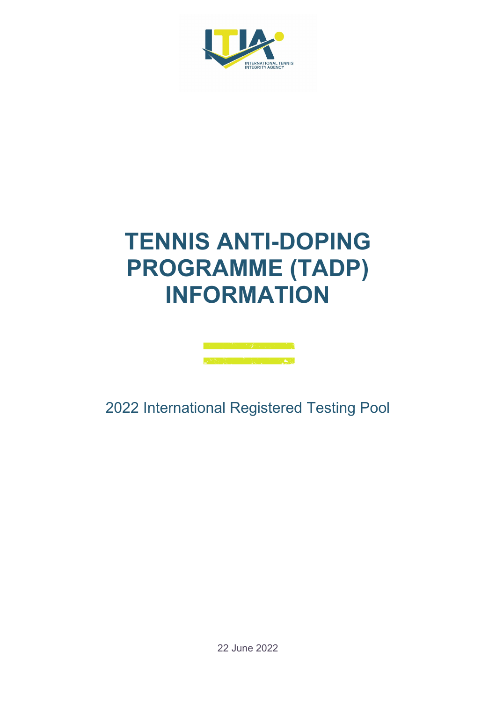

## **TENNIS ANTI-DOPING PROGRAMME (TADP) INFORMATION**



2022 International Registered Testing Pool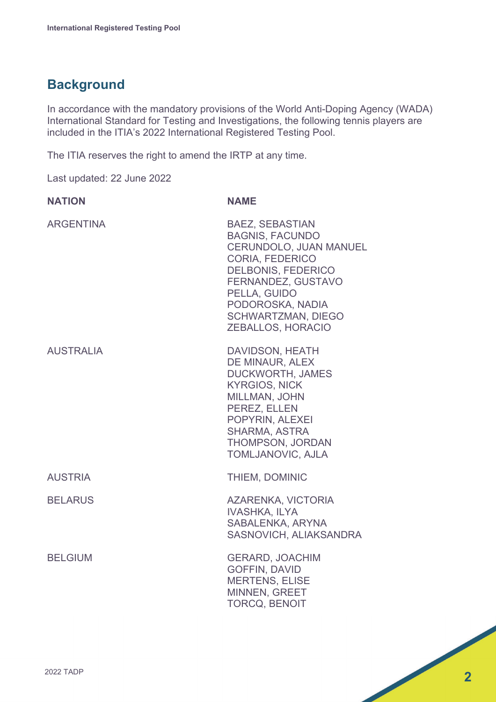## **Background**

In accordance with the mandatory provisions of the World Anti-Doping Agency (WADA) International Standard for Testing and Investigations, the following tennis players are included in the ITIA's 2022 International Registered Testing Pool.

The ITIA reserves the right to amend the IRTP at any time.

Last updated: 22 June 2022

| <b>NATION</b>    | <b>NAME</b>                                                                                                                                                                                                                            |
|------------------|----------------------------------------------------------------------------------------------------------------------------------------------------------------------------------------------------------------------------------------|
| <b>ARGENTINA</b> | <b>BAEZ, SEBASTIAN</b><br><b>BAGNIS, FACUNDO</b><br>CERUNDOLO, JUAN MANUEL<br>CORIA, FEDERICO<br><b>DELBONIS, FEDERICO</b><br>FERNANDEZ, GUSTAVO<br>PELLA, GUIDO<br>PODOROSKA, NADIA<br><b>SCHWARTZMAN, DIEGO</b><br>ZEBALLOS, HORACIO |
| <b>AUSTRALIA</b> | DAVIDSON, HEATH<br>DE MINAUR, ALEX<br><b>DUCKWORTH, JAMES</b><br><b>KYRGIOS, NICK</b><br>MILLMAN, JOHN<br>PEREZ, ELLEN<br>POPYRIN, ALEXEI<br><b>SHARMA, ASTRA</b><br>THOMPSON, JORDAN<br>TOMLJANOVIC, AJLA                             |
| <b>AUSTRIA</b>   | THIEM, DOMINIC                                                                                                                                                                                                                         |
| <b>BELARUS</b>   | AZARENKA, VICTORIA<br><b>IVASHKA, ILYA</b><br>SABALENKA, ARYNA<br>SASNOVICH, ALIAKSANDRA                                                                                                                                               |
| <b>BELGIUM</b>   | <b>GERARD, JOACHIM</b><br><b>GOFFIN, DAVID</b><br><b>MERTENS, ELISE</b><br><b>MINNEN, GREET</b><br><b>TORCQ, BENOIT</b>                                                                                                                |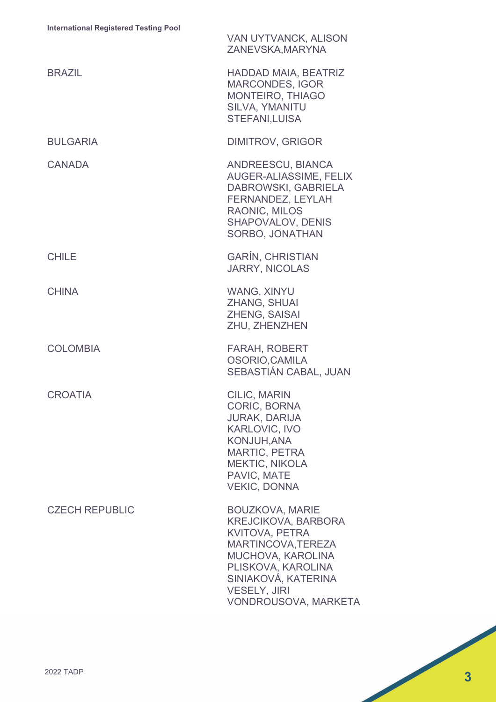|                       | VAN UYTVANCK, ALISON<br>ZANEVSKA, MARYNA                                                                                                                                                                                    |
|-----------------------|-----------------------------------------------------------------------------------------------------------------------------------------------------------------------------------------------------------------------------|
| <b>BRAZIL</b>         | <b>HADDAD MAIA, BEATRIZ</b><br><b>MARCONDES, IGOR</b><br><b>MONTEIRO, THIAGO</b><br>SILVA, YMANITU<br><b>STEFANI, LUISA</b>                                                                                                 |
| <b>BULGARIA</b>       | <b>DIMITROV, GRIGOR</b>                                                                                                                                                                                                     |
| <b>CANADA</b>         | <b>ANDREESCU, BIANCA</b><br>AUGER-ALIASSIME, FELIX<br>DABROWSKI, GABRIELA<br>FERNANDEZ, LEYLAH<br>RAONIC, MILOS<br><b>SHAPOVALOV, DENIS</b><br>SORBO, JONATHAN                                                              |
| <b>CHILE</b>          | <b>GARÍN, CHRISTIAN</b><br><b>JARRY, NICOLAS</b>                                                                                                                                                                            |
| <b>CHINA</b>          | <b>WANG, XINYU</b><br><b>ZHANG, SHUAI</b><br>ZHENG, SAISAI<br>ZHU, ZHENZHEN                                                                                                                                                 |
| <b>COLOMBIA</b>       | <b>FARAH, ROBERT</b><br>OSORIO, CAMILA<br>SEBASTIÁN CABAL, JUAN                                                                                                                                                             |
| <b>CROATIA</b>        | <b>CILIC, MARIN</b><br><b>CORIC, BORNA</b><br><b>JURAK, DARIJA</b><br><b>KARLOVIC, IVO</b><br><b>KONJUH, ANA</b><br><b>MARTIC, PETRA</b><br><b>MEKTIC, NIKOLA</b><br>PAVIC, MATE<br><b>VEKIC, DONNA</b>                     |
| <b>CZECH REPUBLIC</b> | <b>BOUZKOVA, MARIE</b><br><b>KREJCIKOVA, BARBORA</b><br><b>KVITOVA, PETRA</b><br>MARTINCOVA, TEREZA<br>MUCHOVA, KAROLINA<br>PLISKOVA, KAROLINA<br>SINIAKOVÁ, KATERINA<br><b>VESELY, JIRI</b><br><b>VONDROUSOVA, MARKETA</b> |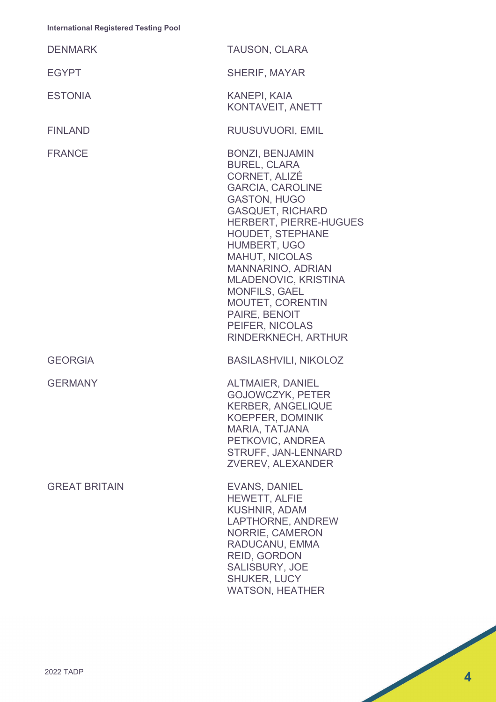| <b>DENMARK</b>       | <b>TAUSON, CLARA</b>                                                                                                                                                                                                                                                                                                                                                                   |
|----------------------|----------------------------------------------------------------------------------------------------------------------------------------------------------------------------------------------------------------------------------------------------------------------------------------------------------------------------------------------------------------------------------------|
| <b>EGYPT</b>         | <b>SHERIF, MAYAR</b>                                                                                                                                                                                                                                                                                                                                                                   |
| <b>ESTONIA</b>       | <b>KANEPI, KAIA</b><br>KONTAVEIT, ANETT                                                                                                                                                                                                                                                                                                                                                |
| <b>FINLAND</b>       | RUUSUVUORI, EMIL                                                                                                                                                                                                                                                                                                                                                                       |
| <b>FRANCE</b>        | <b>BONZI, BENJAMIN</b><br><b>BUREL, CLARA</b><br>CORNET, ALIZÉ<br><b>GARCIA, CAROLINE</b><br><b>GASTON, HUGO</b><br><b>GASQUET, RICHARD</b><br>HERBERT, PIERRE-HUGUES<br>HOUDET, STEPHANE<br>HUMBERT, UGO<br><b>MAHUT, NICOLAS</b><br>MANNARINO, ADRIAN<br>MLADENOVIC, KRISTINA<br><b>MONFILS, GAEL</b><br>MOUTET, CORENTIN<br>PAIRE, BENOIT<br>PEIFER, NICOLAS<br>RINDERKNECH, ARTHUR |
| <b>GEORGIA</b>       | <b>BASILASHVILI, NIKOLOZ</b>                                                                                                                                                                                                                                                                                                                                                           |
| <b>GERMANY</b>       | <b>ALTMAIER, DANIEL</b><br><b>GOJOWCZYK, PETER</b><br><b>KERBER, ANGELIQUE</b><br><b>KOEPFER, DOMINIK</b><br><b>MARIA, TATJANA</b><br>PETKOVIC, ANDREA<br>STRUFF, JAN-LENNARD<br>ZVEREV, ALEXANDER                                                                                                                                                                                     |
| <b>GREAT BRITAIN</b> | <b>EVANS, DANIEL</b><br><b>HEWETT, ALFIE</b><br><b>KUSHNIR, ADAM</b><br>LAPTHORNE, ANDREW<br><b>NORRIE, CAMERON</b><br>RADUCANU, EMMA<br><b>REID, GORDON</b><br><b>SALISBURY, JOE</b><br><b>SHUKER, LUCY</b><br><b>WATSON, HEATHER</b>                                                                                                                                                 |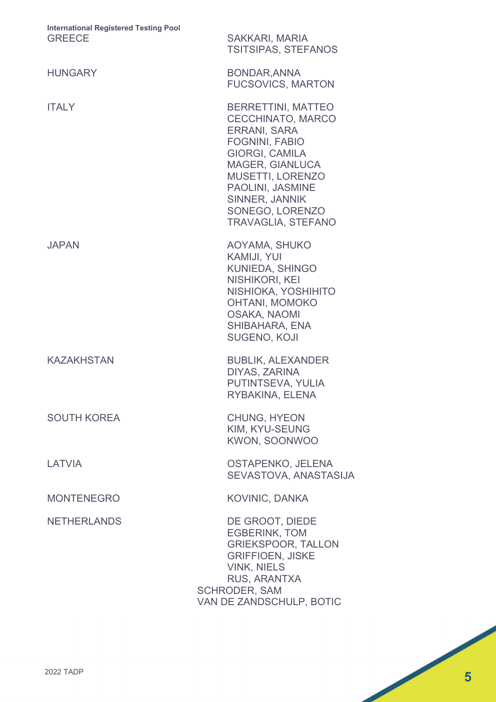| <b>International Registered Testing Pool</b><br><b>GREECE</b> | <b>SAKKARI, MARIA</b><br><b>TSITSIPAS, STEFANOS</b>                                                                                                                                                                                                                |
|---------------------------------------------------------------|--------------------------------------------------------------------------------------------------------------------------------------------------------------------------------------------------------------------------------------------------------------------|
| <b>HUNGARY</b>                                                | <b>BONDAR, ANNA</b><br><b>FUCSOVICS, MARTON</b>                                                                                                                                                                                                                    |
| <b>ITALY</b>                                                  | <b>BERRETTINI, MATTEO</b><br><b>CECCHINATO, MARCO</b><br><b>ERRANI, SARA</b><br><b>FOGNINI, FABIO</b><br>GIORGI, CAMILA<br><b>MAGER, GIANLUCA</b><br><b>MUSETTI, LORENZO</b><br>PAOLINI, JASMINE<br>SINNER, JANNIK<br>SONEGO, LORENZO<br><b>TRAVAGLIA, STEFANO</b> |
| <b>JAPAN</b>                                                  | AOYAMA, SHUKO<br><b>KAMIJI, YUI</b><br><b>KUNIEDA, SHINGO</b><br>NISHIKORI, KEI<br>NISHIOKA, YOSHIHITO<br><b>OHTANI, MOMOKO</b><br><b>OSAKA, NAOMI</b><br>SHIBAHARA, ENA<br><b>SUGENO, KOJI</b>                                                                    |
| <b>KAZAKHSTAN</b>                                             | <b>BUBLIK, ALEXANDER</b><br>DIYAS, ZARINA<br>PUTINTSEVA, YULIA<br>RYBAKINA, ELENA                                                                                                                                                                                  |
| <b>SOUTH KOREA</b>                                            | <b>CHUNG, HYEON</b><br>KIM, KYU-SEUNG<br><b>KWON, SOONWOO</b>                                                                                                                                                                                                      |
| LATVIA                                                        | OSTAPENKO, JELENA<br>SEVASTOVA, ANASTASIJA                                                                                                                                                                                                                         |
| <b>MONTENEGRO</b>                                             | <b>KOVINIC, DANKA</b>                                                                                                                                                                                                                                              |
| <b>NETHERLANDS</b>                                            | DE GROOT, DIEDE<br><b>EGBERINK, TOM</b><br><b>GRIEKSPOOR, TALLON</b><br><b>GRIFFIOEN, JISKE</b><br><b>VINK, NIELS</b><br>RUS, ARANTXA<br><b>SCHRODER, SAM</b><br>VAN DE ZANDSCHULP, BOTIC                                                                          |
|                                                               |                                                                                                                                                                                                                                                                    |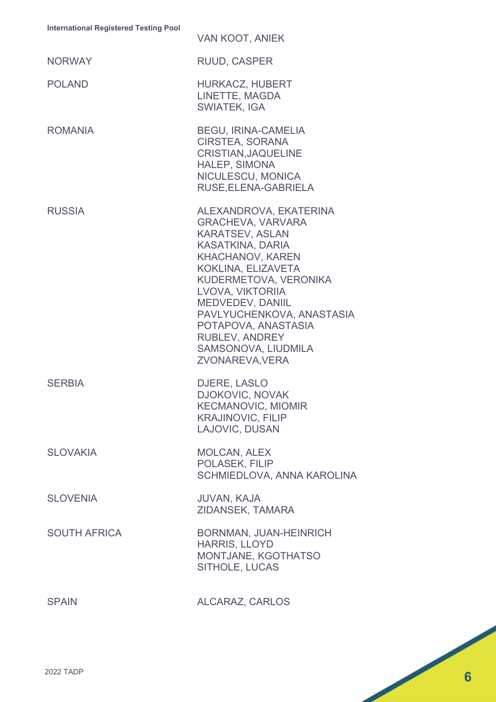| <u>International Registered Testing</u> Fool | <b>VAN KOOT, ANIEK</b>                                                                                                                                                                                                                                                                                                                           |
|----------------------------------------------|--------------------------------------------------------------------------------------------------------------------------------------------------------------------------------------------------------------------------------------------------------------------------------------------------------------------------------------------------|
| <b>NORWAY</b>                                | <b>RUUD, CASPER</b>                                                                                                                                                                                                                                                                                                                              |
| <b>POLAND</b>                                | <b>HURKACZ, HUBERT</b><br>LINETTE, MAGDA<br><b>SWIATEK, IGA</b>                                                                                                                                                                                                                                                                                  |
| <b>ROMANIA</b>                               | <b>BEGU, IRINA-CAMELIA</b><br>CIRSTEA, SORANA<br>CRISTIAN, JAQUELINE<br><b>HALEP, SIMONA</b><br>NICULESCU, MONICA<br>RUSE, ELENA-GABRIELA                                                                                                                                                                                                        |
| <b>RUSSIA</b>                                | ALEXANDROVA, EKATERINA<br><b>GRACHEVA, VARVARA</b><br><b>KARATSEV, ASLAN</b><br><b>KASATKINA, DARIA</b><br><b>KHACHANOV, KAREN</b><br>KOKLINA, ELIZAVETA<br>KUDERMETOVA, VERONIKA<br>LVOVA, VIKTORIIA<br>MEDVEDEV, DANIIL<br>PAVLYUCHENKOVA, ANASTASIA<br>POTAPOVA, ANASTASIA<br><b>RUBLEV, ANDREY</b><br>SAMSONOVA, LIUDMILA<br>ZVONAREVA, VERA |
| <b>SERBIA</b>                                | DJERE, LASLO<br><b>DJOKOVIC, NOVAK</b><br><b>KECMANOVIC, MIOMIR</b><br><b>KRAJINOVIC, FILIP</b><br>LAJOVIC, DUSAN                                                                                                                                                                                                                                |
| <b>SLOVAKIA</b>                              | <b>MOLCAN, ALEX</b><br>POLASEK, FILIP<br>SCHMIEDLOVA, ANNA KAROLINA                                                                                                                                                                                                                                                                              |
| <b>SLOVENIA</b>                              | <b>JUVAN, KAJA</b><br>ZIDANSEK, TAMARA                                                                                                                                                                                                                                                                                                           |
| <b>SOUTH AFRICA</b>                          | <b>BORNMAN, JUAN-HEINRICH</b><br><b>HARRIS, LLOYD</b><br>MONTJANE, KGOTHATSO<br>SITHOLE, LUCAS                                                                                                                                                                                                                                                   |
| <b>SPAIN</b>                                 | ALCARAZ, CARLOS                                                                                                                                                                                                                                                                                                                                  |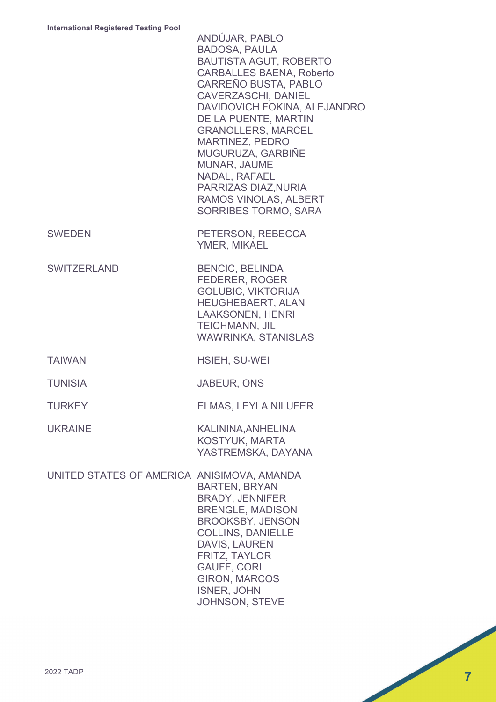|                                            | ANDÚJAR, PABLO<br><b>BADOSA, PAULA</b><br><b>BAUTISTA AGUT, ROBERTO</b><br><b>CARBALLES BAENA, Roberto</b><br><b>CARREÑO BUSTA, PABLO</b><br><b>CAVERZASCHI, DANIEL</b><br>DAVIDOVICH FOKINA, ALEJANDRO<br>DE LA PUENTE, MARTIN<br><b>GRANOLLERS, MARCEL</b><br><b>MARTINEZ, PEDRO</b><br>MUGURUZA, GARBIÑE<br>MUNAR, JAUME<br>NADAL, RAFAEL<br>PARRIZAS DIAZ, NURIA<br>RAMOS VINOLAS, ALBERT<br><b>SORRIBES TORMO, SARA</b> |
|--------------------------------------------|------------------------------------------------------------------------------------------------------------------------------------------------------------------------------------------------------------------------------------------------------------------------------------------------------------------------------------------------------------------------------------------------------------------------------|
| <b>SWEDEN</b>                              | PETERSON, REBECCA<br>YMER, MIKAEL                                                                                                                                                                                                                                                                                                                                                                                            |
| <b>SWITZERLAND</b>                         | <b>BENCIC, BELINDA</b><br><b>FEDERER, ROGER</b><br><b>GOLUBIC, VIKTORIJA</b><br><b>HEUGHEBAERT, ALAN</b><br><b>LAAKSONEN, HENRI</b><br><b>TEICHMANN, JIL</b><br><b>WAWRINKA, STANISLAS</b>                                                                                                                                                                                                                                   |
| <b>TAIWAN</b>                              | <b>HSIEH, SU-WEI</b>                                                                                                                                                                                                                                                                                                                                                                                                         |
| <b>TUNISIA</b>                             | <b>JABEUR, ONS</b>                                                                                                                                                                                                                                                                                                                                                                                                           |
| <b>TURKEY</b>                              | <b>ELMAS, LEYLA NILUFER</b>                                                                                                                                                                                                                                                                                                                                                                                                  |
| <b>UKRAINE</b>                             | KALININA, ANHELINA<br><b>KOSTYUK, MARTA</b><br>YASTREMSKA, DAYANA                                                                                                                                                                                                                                                                                                                                                            |
| UNITED STATES OF AMERICA ANISIMOVA, AMANDA | <b>BARTEN, BRYAN</b><br><b>BRADY, JENNIFER</b><br><b>BRENGLE, MADISON</b><br><b>BROOKSBY, JENSON</b><br><b>COLLINS, DANIELLE</b><br><b>DAVIS, LAUREN</b><br>FRITZ, TAYLOR<br><b>GAUFF, CORI</b><br><b>GIRON, MARCOS</b><br><b>ISNER, JOHN</b><br>JOHNSON, STEVE                                                                                                                                                              |